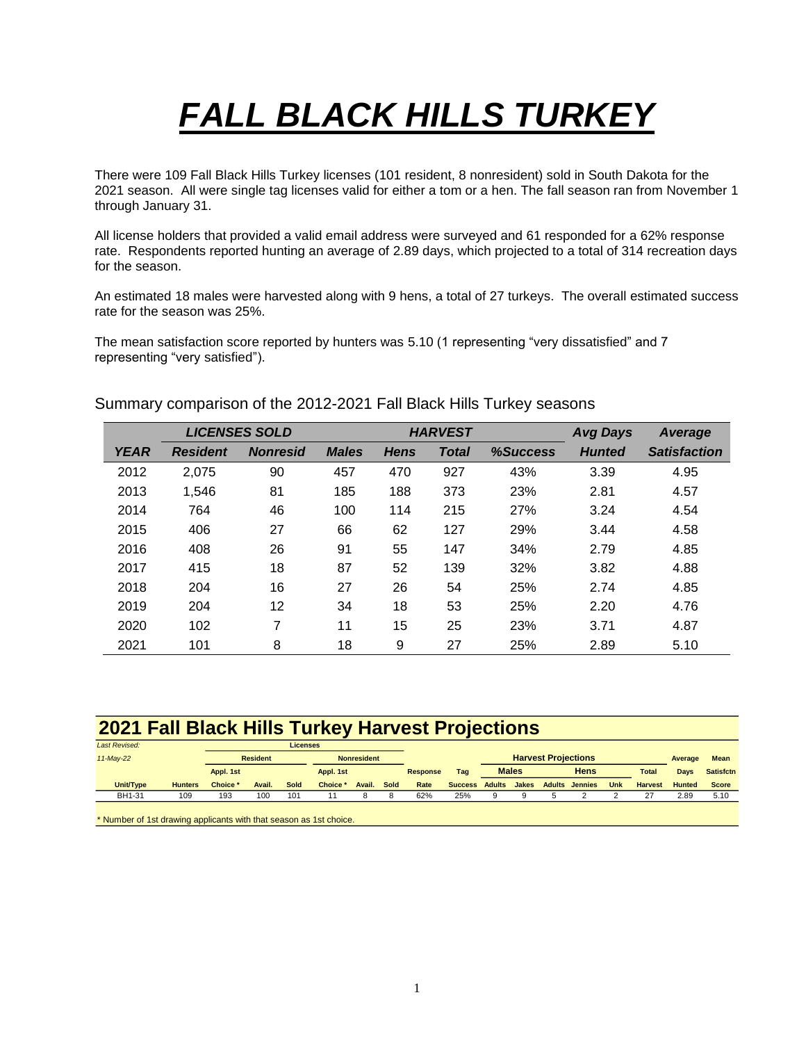## *FALL BLACK HILLS TURKEY*

There were 109 Fall Black Hills Turkey licenses (101 resident, 8 nonresident) sold in South Dakota for the 2021 season. All were single tag licenses valid for either a tom or a hen. The fall season ran from November 1 through January 31.

All license holders that provided a valid email address were surveyed and 61 responded for a 62% response rate. Respondents reported hunting an average of 2.89 days, which projected to a total of 314 recreation days for the season.

An estimated 18 males were harvested along with 9 hens, a total of 27 turkeys. The overall estimated success rate for the season was 25%.

The mean satisfaction score reported by hunters was 5.10 (1 representing "very dissatisfied" and 7 representing "very satisfied").

Summary comparison of the 2012-2021 Fall Black Hills Turkey seasons

|             |                 | <b>LICENSES SOLD</b> |              |             | <b>HARVEST</b> | <b>Avg Days</b> | Average       |                     |
|-------------|-----------------|----------------------|--------------|-------------|----------------|-----------------|---------------|---------------------|
| <b>YEAR</b> | <b>Resident</b> | <b>Nonresid</b>      | <b>Males</b> | <b>Hens</b> | Total          | %Success        | <b>Hunted</b> | <b>Satisfaction</b> |
| 2012        | 2,075           | 90                   | 457          | 470         | 927            | 43%             | 3.39          | 4.95                |
| 2013        | 1.546           | 81                   | 185          | 188         | 373            | 23%             | 2.81          | 4.57                |
| 2014        | 764             | 46                   | 100          | 114         | 215            | 27%             | 3.24          | 4.54                |
| 2015        | 406             | 27                   | 66           | 62          | 127            | 29%             | 3.44          | 4.58                |
| 2016        | 408             | 26                   | 91           | 55          | 147            | 34%             | 2.79          | 4.85                |
| 2017        | 415             | 18                   | 87           | 52          | 139            | 32%             | 3.82          | 4.88                |
| 2018        | 204             | 16                   | 27           | 26          | 54             | 25%             | 2.74          | 4.85                |
| 2019        | 204             | 12                   | 34           | 18          | 53             | 25%             | 2.20          | 4.76                |
| 2020        | 102             | 7                    | 11           | 15          | 25             | 23%             | 3.71          | 4.87                |
| 2021        | 101             | 8                    | 18           | 9           | 27             | 25%             | 2.89          | 5.10                |

## **2021 Fall Black Hills Turkey Harvest Projections**

| <b>Last Revised:</b>                                               |                | <b>Licenses</b> |        |           |                    |                 |      |              |                            |               |       |               |                |      |                  |               |              |
|--------------------------------------------------------------------|----------------|-----------------|--------|-----------|--------------------|-----------------|------|--------------|----------------------------|---------------|-------|---------------|----------------|------|------------------|---------------|--------------|
| $11$ -May-22                                                       |                | <b>Resident</b> |        |           | <b>Nonresident</b> |                 |      |              | <b>Harvest Projections</b> |               |       |               |                |      | Average          | <b>Mean</b>   |              |
|                                                                    |                | Appl. 1st       |        | Appl. 1st |                    | <b>Response</b> | Tag  | <b>Males</b> |                            | <b>Hens</b>   |       |               | <b>Total</b>   | Days | <b>Satisfctn</b> |               |              |
| Unit/Type                                                          | <b>Hunters</b> | <b>Choice</b>   | Avail. | Sold      | Choice *           | Avail.          | Sold | Rate         | <b>Success</b>             | <b>Adults</b> | Jakes | <b>Adults</b> | <b>Jennies</b> | Unk  | <b>Harvest</b>   | <b>Hunted</b> | <b>Score</b> |
| BH1-31                                                             | 109            | 193             | 100    | 101       |                    |                 |      | 62%          | 25%                        | 9             |       |               |                |      | 27               | 2.89          | 5.10         |
|                                                                    |                |                 |        |           |                    |                 |      |              |                            |               |       |               |                |      |                  |               |              |
| * Number of 1st drawing applicants with that season as 1st choice. |                |                 |        |           |                    |                 |      |              |                            |               |       |               |                |      |                  |               |              |